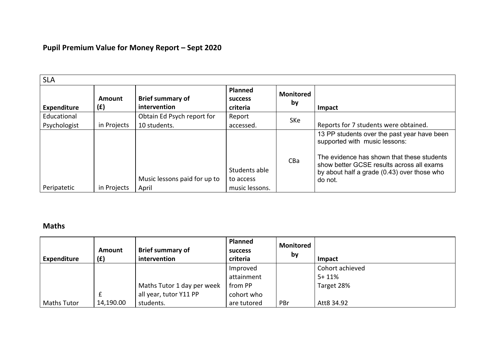# **Pupil Premium Value for Money Report – Sept 2020**

| <b>SLA</b>         |               |                                         |                                              |                        |                                                                                          |  |  |  |
|--------------------|---------------|-----------------------------------------|----------------------------------------------|------------------------|------------------------------------------------------------------------------------------|--|--|--|
| <b>Expenditure</b> | Amount<br>(f) | <b>Brief summary of</b><br>intervention | <b>Planned</b><br><b>SUCCESS</b><br>criteria | <b>Monitored</b><br>by | Impact                                                                                   |  |  |  |
| Educational        |               | Obtain Ed Psych report for              | Report                                       | SKe                    |                                                                                          |  |  |  |
| Psychologist       | in Projects   | 10 students.                            | accessed.                                    |                        | Reports for 7 students were obtained.                                                    |  |  |  |
|                    |               |                                         |                                              |                        | 13 PP students over the past year have been<br>supported with music lessons:             |  |  |  |
|                    |               |                                         |                                              | C <sub>Ba</sub>        | The evidence has shown that these students                                               |  |  |  |
|                    |               |                                         | Students able                                |                        | show better GCSE results across all exams<br>by about half a grade (0.43) over those who |  |  |  |
|                    |               | Music lessons paid for up to            | to access                                    |                        | do not.                                                                                  |  |  |  |
| Peripatetic        | in Projects   | April                                   | music lessons.                               |                        |                                                                                          |  |  |  |

### **Maths**

| <b>Expenditure</b> | Amount<br>(f) | <b>Brief summary of</b><br>intervention | <b>Planned</b><br><b>SUCCESS</b><br>criteria | <b>Monitored</b><br>by | <b>Impact</b>   |
|--------------------|---------------|-----------------------------------------|----------------------------------------------|------------------------|-----------------|
|                    |               |                                         | Improved                                     |                        | Cohort achieved |
|                    |               |                                         | attainment                                   |                        | $5 + 11%$       |
|                    |               | Maths Tutor 1 day per week              | from PP                                      |                        | Target 28%      |
|                    |               | all year, tutor Y11 PP                  | cohort who                                   |                        |                 |
| <b>Maths Tutor</b> | 14,190.00     | students.                               | are tutored                                  | PBr                    | Att8 34.92      |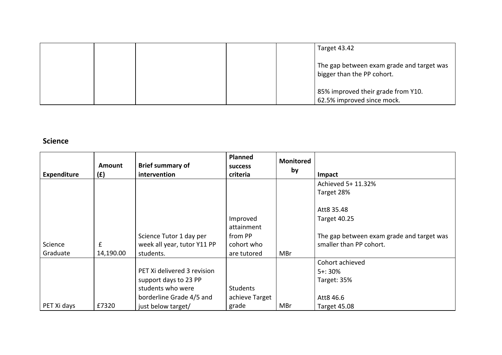|  |  | Target 43.42                                                            |
|--|--|-------------------------------------------------------------------------|
|  |  | The gap between exam grade and target was<br>bigger than the PP cohort. |
|  |  | 85% improved their grade from Y10.<br>62.5% improved since mock.        |

### **Science**

| <b>Expenditure</b> | <b>Amount</b><br>(E) | <b>Brief summary of</b><br>intervention | <b>Planned</b><br><b>success</b><br>criteria | <b>Monitored</b><br>by | Impact                                    |
|--------------------|----------------------|-----------------------------------------|----------------------------------------------|------------------------|-------------------------------------------|
|                    |                      |                                         |                                              |                        | Achieved 5+ 11.32%                        |
|                    |                      |                                         |                                              |                        | Target 28%                                |
|                    |                      |                                         |                                              |                        | Att8 35.48                                |
|                    |                      |                                         | Improved                                     |                        | <b>Target 40.25</b>                       |
|                    |                      |                                         | attainment                                   |                        |                                           |
|                    |                      | Science Tutor 1 day per                 | from PP                                      |                        | The gap between exam grade and target was |
| Science            | £                    | week all year, tutor Y11 PP             | cohort who                                   |                        | smaller than PP cohort.                   |
| Graduate           | 14,190.00            | students.                               | are tutored                                  | MBr                    |                                           |
|                    |                      |                                         |                                              |                        | Cohort achieved                           |
|                    |                      | PET Xi delivered 3 revision             |                                              |                        | $5 + 30%$                                 |
|                    |                      | support days to 23 PP                   |                                              |                        | Target: 35%                               |
|                    |                      | students who were                       | <b>Students</b>                              |                        |                                           |
|                    |                      | borderline Grade 4/5 and                | achieve Target                               |                        | Att8 46.6                                 |
| PET Xi days        | £7320                | just below target/                      | grade                                        | MBr                    | Target 45.08                              |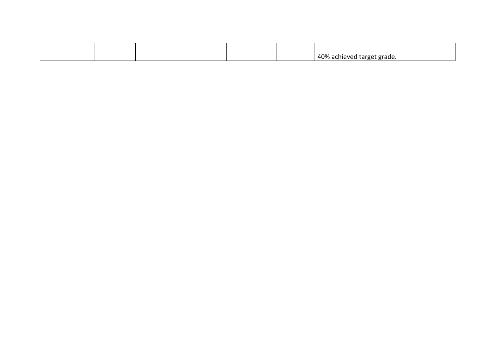|  |  | 40%<br>∴ ∧ achieve "د ب<br>od target grade.<br>v cu |
|--|--|-----------------------------------------------------|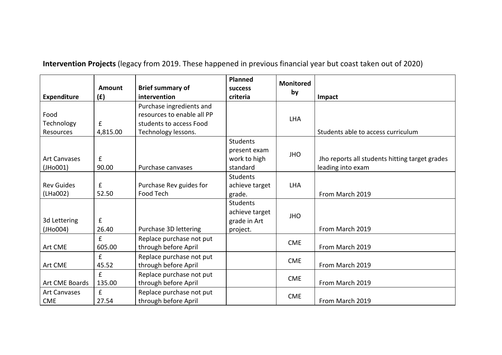| <b>Expenditure</b>                                       | Amount<br>(f)               | <b>Brief summary of</b><br>intervention                                                                  | <b>Planned</b><br><b>SUCCESS</b><br>criteria                  | <b>Monitored</b><br>by | Impact                                                              |
|----------------------------------------------------------|-----------------------------|----------------------------------------------------------------------------------------------------------|---------------------------------------------------------------|------------------------|---------------------------------------------------------------------|
| Food<br>Technology<br>Resources                          | £<br>4,815.00               | Purchase ingredients and<br>resources to enable all PP<br>students to access Food<br>Technology lessons. |                                                               | <b>LHA</b>             | Students able to access curriculum                                  |
| <b>Art Canvases</b><br>(JH <sub>0</sub> <sub>001</sub> ) | $\pmb{\mathsf{f}}$<br>90.00 | Purchase canvases                                                                                        | <b>Students</b><br>present exam<br>work to high<br>standard   | <b>JHO</b>             | Jho reports all students hitting target grades<br>leading into exam |
| <b>Rev Guides</b><br>(LHa002)                            | £<br>52.50                  | Purchase Rev guides for<br><b>Food Tech</b>                                                              | <b>Students</b><br>achieve target<br>grade.                   | <b>LHA</b>             | From March 2019                                                     |
| 3d Lettering<br>(JH <sub>0</sub> <sub>004</sub> )        | £<br>26.40                  | Purchase 3D lettering                                                                                    | <b>Students</b><br>achieve target<br>grade in Art<br>project. | <b>JHO</b>             | From March 2019                                                     |
| Art CME                                                  | £<br>605.00                 | Replace purchase not put<br>through before April                                                         |                                                               | <b>CME</b>             | From March 2019                                                     |
| Art CME                                                  | £<br>45.52                  | Replace purchase not put<br>through before April                                                         |                                                               | <b>CME</b>             | From March 2019                                                     |
| Art CME Boards                                           | f<br>135.00                 | Replace purchase not put<br>through before April                                                         |                                                               | <b>CME</b>             | From March 2019                                                     |
| <b>Art Canvases</b><br><b>CME</b>                        | f<br>27.54                  | Replace purchase not put<br>through before April                                                         |                                                               | <b>CME</b>             | From March 2019                                                     |

**Intervention Projects** (legacy from 2019. These happened in previous financial year but coast taken out of 2020)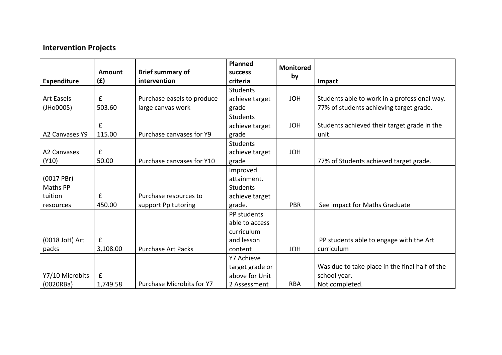# **Intervention Projects**

|                         | Amount      | <b>Brief summary of</b>          | Planned<br><b>SUCCESS</b> | <b>Monitored</b><br>by |                                                |
|-------------------------|-------------|----------------------------------|---------------------------|------------------------|------------------------------------------------|
| <b>Expenditure</b>      | (f)         | intervention                     | criteria                  |                        | Impact                                         |
|                         |             |                                  | <b>Students</b>           |                        |                                                |
| <b>Art Easels</b>       | $\mathbf f$ | Purchase easels to produce       | achieve target            | <b>JOH</b>             | Students able to work in a professional way.   |
| (JHo0005)               | 503.60      | large canvas work                | grade                     |                        | 77% of students achieving target grade.        |
|                         |             |                                  | <b>Students</b>           |                        |                                                |
|                         | £           |                                  | achieve target            | <b>JOH</b>             | Students achieved their target grade in the    |
| A2 Canvases Y9          | 115.00      | Purchase canvases for Y9         | grade                     |                        | unit.                                          |
|                         |             |                                  | <b>Students</b>           |                        |                                                |
| A <sub>2</sub> Canvases | £           |                                  | achieve target            | <b>JOH</b>             |                                                |
| (Y10)                   | 50.00       | Purchase canvases for Y10        | grade                     |                        | 77% of Students achieved target grade.         |
|                         |             |                                  | Improved                  |                        |                                                |
| $(0017$ PBr)            |             |                                  | attainment.               |                        |                                                |
| Maths PP                |             |                                  | Students                  |                        |                                                |
| tuition                 | £           | Purchase resources to            | achieve target            |                        |                                                |
| resources               | 450.00      | support Pp tutoring              | grade.                    | <b>PBR</b>             | See impact for Maths Graduate                  |
|                         |             |                                  | PP students               |                        |                                                |
|                         |             |                                  | able to access            |                        |                                                |
|                         |             |                                  | curriculum                |                        |                                                |
| (0018 JoH) Art          | £           |                                  | and lesson                |                        | PP students able to engage with the Art        |
| packs                   | 3,108.00    | <b>Purchase Art Packs</b>        | content                   | <b>JOH</b>             | curriculum                                     |
|                         |             |                                  | Y7 Achieve                |                        |                                                |
|                         |             |                                  | target grade or           |                        | Was due to take place in the final half of the |
| Y7/10 Microbits         | £           |                                  | above for Unit            |                        | school year.                                   |
| (0020RBa)               | 1,749.58    | <b>Purchase Microbits for Y7</b> | 2 Assessment              | <b>RBA</b>             | Not completed.                                 |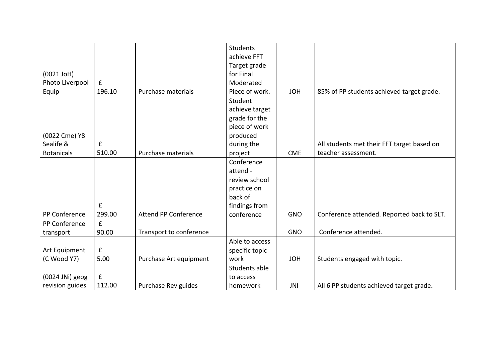|                   |             |                             | <b>Students</b>             |            |                                            |
|-------------------|-------------|-----------------------------|-----------------------------|------------|--------------------------------------------|
|                   |             |                             | achieve FFT                 |            |                                            |
|                   |             |                             | Target grade                |            |                                            |
| $(0021$ JoH $)$   |             |                             | for Final                   |            |                                            |
| Photo Liverpool   | £           |                             | Moderated                   |            |                                            |
| Equip             | 196.10      | Purchase materials          | Piece of work.              | <b>JOH</b> | 85% of PP students achieved target grade.  |
|                   |             |                             | Student                     |            |                                            |
|                   |             |                             | achieve target              |            |                                            |
|                   |             |                             | grade for the               |            |                                            |
|                   |             |                             | piece of work               |            |                                            |
| (0022 Cme) Y8     |             |                             | produced                    |            |                                            |
| Sealife &         | $\mathbf f$ |                             | during the                  |            | All students met their FFT target based on |
| <b>Botanicals</b> | 510.00      | Purchase materials          | project                     | <b>CME</b> | teacher assessment.                        |
|                   |             |                             | Conference                  |            |                                            |
|                   |             |                             | attend -                    |            |                                            |
|                   |             |                             | review school               |            |                                            |
|                   |             |                             | practice on                 |            |                                            |
|                   |             |                             | back of                     |            |                                            |
|                   | £           |                             |                             |            |                                            |
| PP Conference     | 299.00      | <b>Attend PP Conference</b> | findings from<br>conference | <b>GNO</b> | Conference attended. Reported back to SLT. |
|                   | f           |                             |                             |            |                                            |
| PP Conference     |             |                             |                             |            |                                            |
| transport         | 90.00       | Transport to conference     |                             | <b>GNO</b> | Conference attended.                       |
|                   |             |                             | Able to access              |            |                                            |
| Art Equipment     | £           |                             | specific topic              |            |                                            |
| (C Wood Y7)       | 5.00        | Purchase Art equipment      | work                        | <b>JOH</b> | Students engaged with topic.               |
|                   |             |                             | Students able               |            |                                            |
| (0024 JNi) geog   | $\mathbf f$ |                             | to access                   |            |                                            |
| revision guides   | 112.00      | Purchase Rev guides         | homework                    | JNI        | All 6 PP students achieved target grade.   |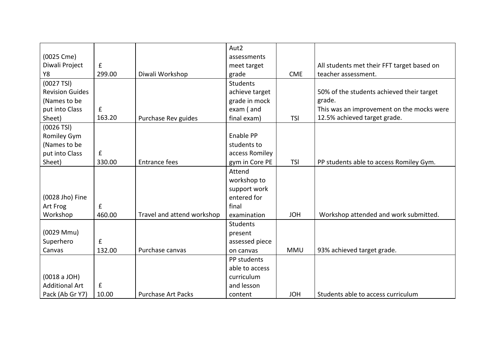|                        |                    |                            | Aut <sub>2</sub> |            |                                            |
|------------------------|--------------------|----------------------------|------------------|------------|--------------------------------------------|
| (0025 Cme)             |                    |                            | assessments      |            |                                            |
| Diwali Project         | ${\bf f}$          |                            | meet target      |            | All students met their FFT target based on |
| Υ8                     | 299.00             | Diwali Workshop            | grade            | <b>CME</b> | teacher assessment.                        |
| (0027 TSI)             |                    |                            | <b>Students</b>  |            |                                            |
| <b>Revision Guides</b> |                    |                            | achieve target   |            | 50% of the students achieved their target  |
| (Names to be           |                    |                            | grade in mock    |            | grade.                                     |
| put into Class         | $\mathbf f$        |                            | exam (and        |            | This was an improvement on the mocks were  |
| Sheet)                 | 163.20             | Purchase Rev guides        | final exam)      | <b>TSI</b> | 12.5% achieved target grade.               |
| $(0026$ TSI)           |                    |                            |                  |            |                                            |
| Romiley Gym            |                    |                            | Enable PP        |            |                                            |
| (Names to be           |                    |                            | students to      |            |                                            |
| put into Class         | £                  |                            | access Romiley   |            |                                            |
| Sheet)                 | 330.00             | <b>Entrance fees</b>       | gym in Core PE   | <b>TSI</b> | PP students able to access Romiley Gym.    |
|                        |                    |                            | Attend           |            |                                            |
|                        |                    |                            | workshop to      |            |                                            |
|                        |                    |                            | support work     |            |                                            |
| (0028 Jho) Fine        |                    |                            | entered for      |            |                                            |
| Art Frog               | $\mathbf f$        |                            | final            |            |                                            |
| Workshop               | 460.00             | Travel and attend workshop | examination      | <b>JOH</b> | Workshop attended and work submitted.      |
|                        |                    |                            | Students         |            |                                            |
| (0029 Mmu)             |                    |                            | present          |            |                                            |
| Superhero              | $\pmb{\mathsf{f}}$ |                            | assessed piece   |            |                                            |
| Canvas                 | 132.00             | Purchase canvas            | on canvas        | <b>MMU</b> | 93% achieved target grade.                 |
|                        |                    |                            | PP students      |            |                                            |
|                        |                    |                            | able to access   |            |                                            |
| (0018 a JOH)           |                    |                            | curriculum       |            |                                            |
| <b>Additional Art</b>  | ${\bf f}$          |                            | and lesson       |            |                                            |
| Pack (Ab Gr Y7)        | 10.00              | <b>Purchase Art Packs</b>  | content          | <b>JOH</b> | Students able to access curriculum         |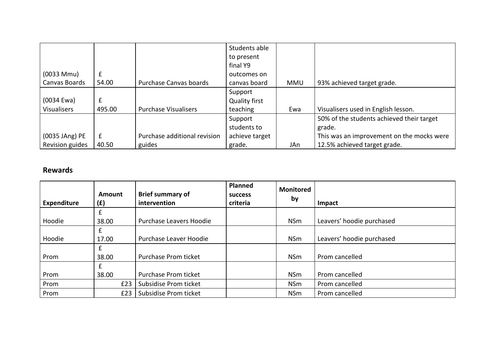|                    |        |                              | Students able        |            |                                           |
|--------------------|--------|------------------------------|----------------------|------------|-------------------------------------------|
|                    |        |                              | to present           |            |                                           |
|                    |        |                              | final Y9             |            |                                           |
| $(0033$ Mmu $)$    | £      |                              | outcomes on          |            |                                           |
| Canvas Boards      | 54.00  | Purchase Canvas boards       | canvas board         | <b>MMU</b> | 93% achieved target grade.                |
|                    |        |                              | Support              |            |                                           |
| (0034 Ewa)         | £      |                              | <b>Quality first</b> |            |                                           |
| <b>Visualisers</b> | 495.00 | <b>Purchase Visualisers</b>  | teaching             | Ewa        | Visualisers used in English lesson.       |
|                    |        |                              | Support              |            | 50% of the students achieved their target |
|                    |        |                              | students to          |            | grade.                                    |
| (0035 JAng) PE     | £      | Purchase additional revision | achieve target       |            | This was an improvement on the mocks were |
| Revision guides    | 40.50  | guides                       | grade.               | JAn        | 12.5% achieved target grade.              |

#### **Rewards**

| Expenditure | Amount<br>(E) | <b>Brief summary of</b><br>intervention | <b>Planned</b><br><b>SUCCESS</b><br>criteria | <b>Monitored</b><br>by | Impact                    |
|-------------|---------------|-----------------------------------------|----------------------------------------------|------------------------|---------------------------|
|             | £             |                                         |                                              |                        |                           |
| Hoodie      | 38.00         | Purchase Leavers Hoodie                 |                                              | <b>NSm</b>             | Leavers' hoodie purchased |
|             | £             |                                         |                                              |                        |                           |
| Hoodie      | 17.00         | Purchase Leaver Hoodie                  |                                              | <b>NSm</b>             | Leavers' hoodie purchased |
|             | £             |                                         |                                              |                        |                           |
| Prom        | 38.00         | Purchase Prom ticket                    |                                              | <b>NSm</b>             | Prom cancelled            |
|             | £             |                                         |                                              |                        |                           |
| Prom        | 38.00         | Purchase Prom ticket                    |                                              | <b>NSm</b>             | Prom cancelled            |
| Prom        | £23           | Subsidise Prom ticket                   |                                              | <b>NSm</b>             | Prom cancelled            |
| Prom        | £23           | Subsidise Prom ticket                   |                                              | <b>NSm</b>             | Prom cancelled            |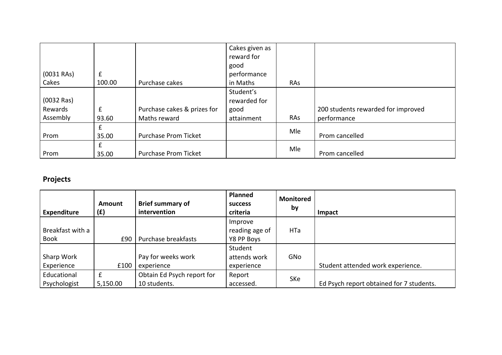| $(0031$ RAs) | f      |                             | Cakes given as<br>reward for<br>good<br>performance |     |                                    |
|--------------|--------|-----------------------------|-----------------------------------------------------|-----|------------------------------------|
| Cakes        | 100.00 | Purchase cakes              | in Maths                                            | RAs |                                    |
|              |        |                             | Student's                                           |     |                                    |
| $(0032$ Ras) |        |                             | rewarded for                                        |     |                                    |
| Rewards      | f      | Purchase cakes & prizes for | good                                                |     | 200 students rewarded for improved |
| Assembly     | 93.60  | Maths reward                | attainment                                          | RAs | performance                        |
|              | £      |                             |                                                     | Mle |                                    |
| Prom         | 35.00  | <b>Purchase Prom Ticket</b> |                                                     |     | Prom cancelled                     |
|              | £      |                             |                                                     | Mle |                                    |
| Prom         | 35.00  | <b>Purchase Prom Ticket</b> |                                                     |     | Prom cancelled                     |

# **Projects**

| <b>Expenditure</b> | Amount<br>(E) | <b>Brief summary of</b><br>intervention | <b>Planned</b><br><b>SUCCESS</b><br>criteria | <b>Monitored</b><br>by | Impact                                   |
|--------------------|---------------|-----------------------------------------|----------------------------------------------|------------------------|------------------------------------------|
| Breakfast with a   |               |                                         | Improve<br>reading age of                    | HTa                    |                                          |
| <b>Book</b>        | £90           | Purchase breakfasts                     | Y8 PP Boys                                   |                        |                                          |
|                    |               |                                         | Student                                      |                        |                                          |
| Sharp Work         |               | Pay for weeks work                      | attends work                                 | GNo                    |                                          |
| Experience         | £100          | experience                              | experience                                   |                        | Student attended work experience.        |
| Educational        | £             | Obtain Ed Psych report for              | Report                                       | SKe                    |                                          |
| Psychologist       | 5,150.00      | 10 students.                            | accessed.                                    |                        | Ed Psych report obtained for 7 students. |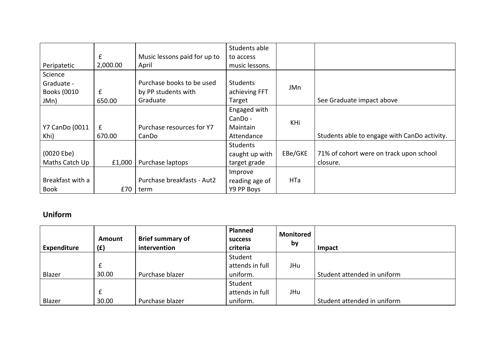|                    |                    |                              | Students able   |         |                                              |
|--------------------|--------------------|------------------------------|-----------------|---------|----------------------------------------------|
|                    | £                  | Music lessons paid for up to | to access       |         |                                              |
| Peripatetic        | 2,000.00           | April                        | music lessons.  |         |                                              |
| Science            |                    |                              |                 |         |                                              |
| Graduate -         |                    | Purchase books to be used    | <b>Students</b> | JMn     |                                              |
| <b>Books (0010</b> | $\pmb{\mathsf{f}}$ | by PP students with          | achieving FFT   |         |                                              |
| JMn)               | 650.00             | Graduate                     | Target          |         | See Graduate impact above                    |
|                    |                    |                              | Engaged with    |         |                                              |
|                    |                    |                              | $CanDo -$       | KHi     |                                              |
| Y7 CanDo (0011     | $\mathbf{f}$       | Purchase resources for Y7    | Maintain        |         |                                              |
| Khi)               | 670.00             | CanDo                        | Attendance      |         | Students able to engage with CanDo activity. |
|                    |                    |                              | <b>Students</b> |         |                                              |
| (0020 Ebe)         |                    |                              | caught up with  | EBe/GKE | 71% of cohort were on track upon school      |
| Maths Catch Up     | £1,000             | Purchase laptops             | target grade    |         | closure.                                     |
|                    |                    |                              | Improve         |         |                                              |
| Breakfast with a   |                    | Purchase breakfasts - Aut2   | reading age of  | HTa     |                                              |
| <b>Book</b>        | £70                | term                         | Y9 PP Boys      |         |                                              |

### **Uniform**

| <b>Expenditure</b> | Amount<br>(E) | <b>Brief summary of</b><br>intervention | <b>Planned</b><br><b>SUCCESS</b><br>criteria | <b>Monitored</b><br>by | Impact                      |
|--------------------|---------------|-----------------------------------------|----------------------------------------------|------------------------|-----------------------------|
| Blazer             | 30.00         | Purchase blazer                         | Student<br>attends in full<br>uniform.       | JHu                    | Student attended in uniform |
| Blazer             | £<br>30.00    | Purchase blazer                         | Student<br>attends in full<br>uniform.       | JHu                    | Student attended in uniform |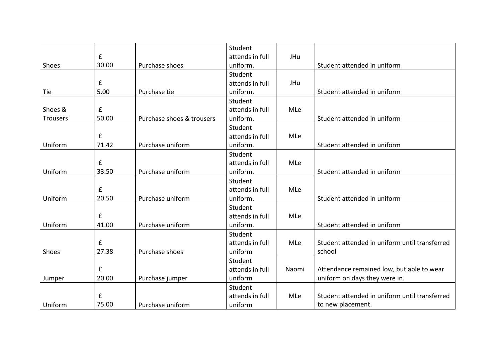|                 |             |                           | Student         |       |                                               |
|-----------------|-------------|---------------------------|-----------------|-------|-----------------------------------------------|
|                 | £           |                           | attends in full | JHu   |                                               |
| Shoes           | 30.00       | Purchase shoes            | uniform.        |       | Student attended in uniform                   |
|                 |             |                           | Student         |       |                                               |
|                 | £           |                           | attends in full | JHu   |                                               |
| Tie             | 5.00        | Purchase tie              | uniform.        |       | Student attended in uniform                   |
|                 |             |                           | Student         |       |                                               |
| Shoes &         | $\mathbf f$ |                           | attends in full | MLe   |                                               |
| <b>Trousers</b> | 50.00       | Purchase shoes & trousers | uniform.        |       | Student attended in uniform                   |
|                 |             |                           | Student         |       |                                               |
|                 | £           |                           | attends in full | MLe   |                                               |
| Uniform         | 71.42       | Purchase uniform          | uniform.        |       | Student attended in uniform                   |
|                 |             |                           | Student         |       |                                               |
|                 | £           |                           | attends in full | MLe   |                                               |
| Uniform         | 33.50       | Purchase uniform          | uniform.        |       | Student attended in uniform                   |
|                 |             |                           | Student         |       |                                               |
|                 | £           |                           | attends in full | MLe   |                                               |
| Uniform         | 20.50       | Purchase uniform          | uniform.        |       | Student attended in uniform                   |
|                 |             |                           | Student         |       |                                               |
|                 | $\mathbf f$ |                           | attends in full | MLe   |                                               |
| Uniform         | 41.00       | Purchase uniform          | uniform.        |       | Student attended in uniform                   |
|                 |             |                           | Student         |       |                                               |
|                 | £           |                           | attends in full | MLe   | Student attended in uniform until transferred |
| Shoes           | 27.38       | Purchase shoes            | uniform         |       | school                                        |
|                 |             |                           | Student         |       |                                               |
|                 | £           |                           | attends in full | Naomi | Attendance remained low, but able to wear     |
| Jumper          | 20.00       | Purchase jumper           | uniform         |       | uniform on days they were in.                 |
|                 |             |                           | Student         |       |                                               |
|                 | £           |                           | attends in full | MLe   | Student attended in uniform until transferred |
| Uniform         | 75.00       | Purchase uniform          | uniform         |       | to new placement.                             |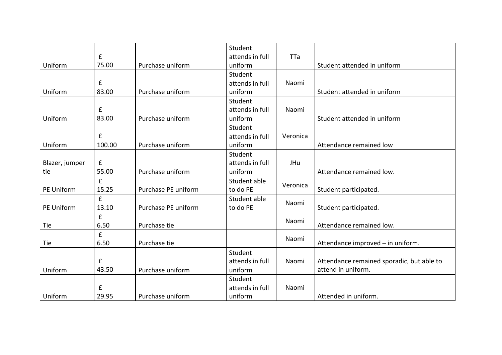|                |                    |                     | Student         |          |                                           |
|----------------|--------------------|---------------------|-----------------|----------|-------------------------------------------|
|                | £                  |                     | attends in full | TTa      |                                           |
| Uniform        | 75.00              | Purchase uniform    | uniform         |          | Student attended in uniform               |
|                |                    |                     | Student         |          |                                           |
|                | £                  |                     | attends in full | Naomi    |                                           |
| Uniform        | 83.00              | Purchase uniform    | uniform         |          | Student attended in uniform               |
|                |                    |                     | Student         |          |                                           |
|                | £                  |                     | attends in full | Naomi    |                                           |
| Uniform        | 83.00              | Purchase uniform    | uniform         |          | Student attended in uniform               |
|                |                    |                     | Student         |          |                                           |
|                | £                  |                     | attends in full | Veronica |                                           |
| Uniform        | 100.00             | Purchase uniform    | uniform         |          | Attendance remained low                   |
|                |                    |                     | Student         |          |                                           |
| Blazer, jumper | £                  |                     | attends in full | JHu      |                                           |
| tie            | 55.00              | Purchase uniform    | uniform         |          | Attendance remained low.                  |
|                | $\pmb{\mathsf{f}}$ |                     | Student able    |          |                                           |
| PE Uniform     | 15.25              | Purchase PE uniform | to do PE        | Veronica | Student participated.                     |
|                | £                  |                     | Student able    | Naomi    |                                           |
| PE Uniform     | 13.10              | Purchase PE uniform | to do PE        |          | Student participated.                     |
|                | $\mathbf f$        |                     |                 | Naomi    |                                           |
| Tie            | 6.50               | Purchase tie        |                 |          | Attendance remained low.                  |
|                | $\mathbf{f}$       |                     |                 | Naomi    |                                           |
| Tie            | 6.50               | Purchase tie        |                 |          | Attendance improved - in uniform.         |
|                |                    |                     | Student         |          |                                           |
|                | £                  |                     | attends in full | Naomi    | Attendance remained sporadic, but able to |
| Uniform        | 43.50              | Purchase uniform    | uniform         |          | attend in uniform.                        |
|                |                    |                     | Student         |          |                                           |
|                | £                  |                     | attends in full | Naomi    |                                           |
| Uniform        | 29.95              | Purchase uniform    | uniform         |          | Attended in uniform.                      |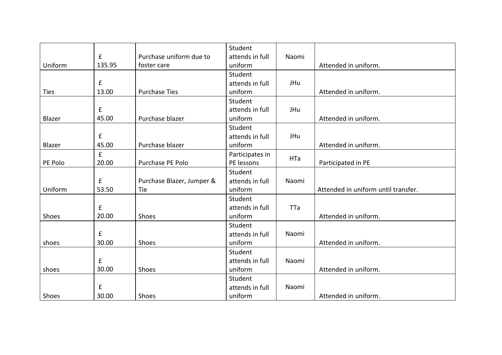|             |                    |                           | Student         |       |                                     |
|-------------|--------------------|---------------------------|-----------------|-------|-------------------------------------|
|             | $\pmb{\mathsf{f}}$ | Purchase uniform due to   | attends in full | Naomi |                                     |
| Uniform     | 135.95             | foster care               | uniform         |       | Attended in uniform.                |
|             |                    |                           | Student         |       |                                     |
|             | $\mathbf f$        |                           | attends in full | JHu   |                                     |
| <b>Ties</b> | 13.00              | <b>Purchase Ties</b>      | uniform         |       | Attended in uniform.                |
|             |                    |                           | Student         |       |                                     |
|             | £                  |                           | attends in full | JHu   |                                     |
| Blazer      | 45.00              | Purchase blazer           | uniform         |       | Attended in uniform.                |
|             |                    |                           | Student         |       |                                     |
|             | $\pmb{\mathsf{f}}$ |                           | attends in full | JHu   |                                     |
| Blazer      | 45.00              | Purchase blazer           | uniform         |       | Attended in uniform.                |
|             | £                  |                           | Participates in | HTa   |                                     |
| PE Polo     | 20.00              | Purchase PE Polo          | PE lessons      |       | Participated in PE                  |
|             |                    |                           | Student         |       |                                     |
|             | £                  | Purchase Blazer, Jumper & | attends in full | Naomi |                                     |
| Uniform     | 53.50              | Tie                       | uniform         |       | Attended in uniform until transfer. |
|             |                    |                           | Student         |       |                                     |
|             | f                  |                           | attends in full | TTa   |                                     |
| Shoes       | 20.00              | Shoes                     | uniform         |       | Attended in uniform.                |
|             |                    |                           | Student         |       |                                     |
|             | £                  |                           | attends in full | Naomi |                                     |
| shoes       | 30.00              | Shoes                     | uniform         |       | Attended in uniform.                |
|             |                    |                           | Student         |       |                                     |
|             | $\mathbf f$        |                           | attends in full | Naomi |                                     |
| shoes       | 30.00              | Shoes                     | uniform         |       | Attended in uniform.                |
|             |                    |                           | Student         |       |                                     |
|             | £                  |                           | attends in full | Naomi |                                     |
| Shoes       | 30.00              | Shoes                     | uniform         |       | Attended in uniform.                |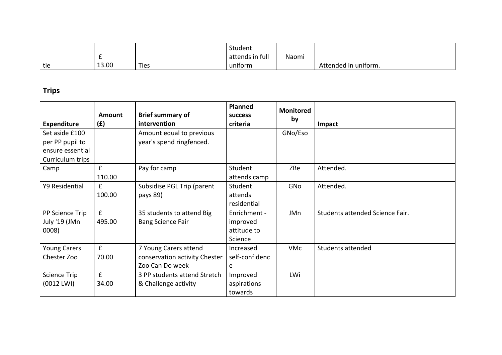|     |       |      | Student         |              |                         |
|-----|-------|------|-----------------|--------------|-------------------------|
|     | -     |      | attends in full | . .<br>Naomi |                         |
| tie | 13.00 | Ties | uniform         |              | In uniform.<br>Attended |

# **Trips**

| <b>Expenditure</b>                                                        | Amount<br>(f)          | <b>Brief summary of</b><br>intervention                                   | <b>Planned</b><br><b>SUCCESS</b><br>criteria       | <b>Monitored</b><br>by | <b>Impact</b>                   |
|---------------------------------------------------------------------------|------------------------|---------------------------------------------------------------------------|----------------------------------------------------|------------------------|---------------------------------|
| Set aside £100<br>per PP pupil to<br>ensure essential<br>Curriculum trips |                        | Amount equal to previous<br>year's spend ringfenced.                      |                                                    | GNo/Eso                |                                 |
| Camp                                                                      | £<br>110.00            | Pay for camp                                                              | Student<br>attends camp                            | ZBe                    | Attended.                       |
| Y9 Residential                                                            | £<br>100.00            | Subsidise PGL Trip (parent<br>pays 89)                                    | Student<br>attends<br>residential                  | GNo                    | Attended.                       |
| PP Science Trip<br>July '19 (JMn<br>0008)                                 | $\mathbf{f}$<br>495.00 | 35 students to attend Big<br><b>Bang Science Fair</b>                     | Enrichment -<br>improved<br>attitude to<br>Science | JMn                    | Students attended Science Fair. |
| <b>Young Carers</b><br>Chester Zoo                                        | $\mathbf f$<br>70.00   | 7 Young Carers attend<br>conservation activity Chester<br>Zoo Can Do week | Increased<br>self-confidenc<br>e                   | <b>VMc</b>             | Students attended               |
| <b>Science Trip</b><br>$(0012$ LWI)                                       | $\mathbf{f}$<br>34.00  | 3 PP students attend Stretch<br>& Challenge activity                      | Improved<br>aspirations<br>towards                 | LWi                    |                                 |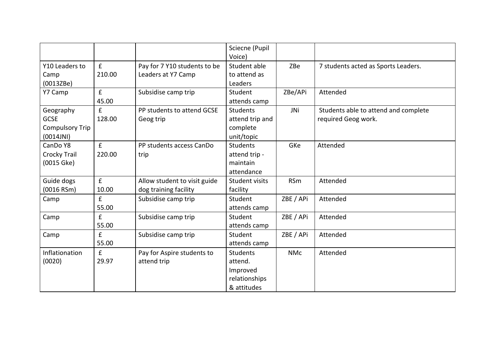|                                                                 |                       |                                                       | Sciecne (Pupil<br>Voice)                                               |            |                                                             |
|-----------------------------------------------------------------|-----------------------|-------------------------------------------------------|------------------------------------------------------------------------|------------|-------------------------------------------------------------|
| Y10 Leaders to<br>Camp<br>(0013ZBe)                             | f<br>210.00           | Pay for 7 Y10 students to be<br>Leaders at Y7 Camp    | Student able<br>to attend as<br>Leaders                                | ZBe        | 7 students acted as Sports Leaders.                         |
| Y7 Camp                                                         | f<br>45.00            | Subsidise camp trip                                   | Student<br>attends camp                                                | ZBe/APi    | Attended                                                    |
| Geography<br><b>GCSE</b><br><b>Compulsory Trip</b><br>(0014JNI) | £<br>128.00           | PP students to attend GCSE<br>Geog trip               | <b>Students</b><br>attend trip and<br>complete<br>unit/topic           | JNi        | Students able to attend and complete<br>required Geog work. |
| CanDo Y8<br><b>Crocky Trail</b><br>$(0015 \text{ Gke})$         | f<br>220.00           | PP students access CanDo<br>trip                      | <b>Students</b><br>attend trip -<br>maintain<br>attendance             | GKe        | Attended                                                    |
| Guide dogs<br>(0016 RSm)                                        | $\mathbf{f}$<br>10.00 | Allow student to visit guide<br>dog training facility | <b>Student visits</b><br>facility                                      | <b>RSm</b> | Attended                                                    |
| Camp                                                            | $\mathbf{f}$<br>55.00 | Subsidise camp trip                                   | Student<br>attends camp                                                | ZBE / APi  | Attended                                                    |
| Camp                                                            | $\mathbf{f}$<br>55.00 | Subsidise camp trip                                   | Student<br>attends camp                                                | ZBE / APi  | Attended                                                    |
| Camp                                                            | f<br>55.00            | Subsidise camp trip                                   | Student<br>attends camp                                                | ZBE / APi  | Attended                                                    |
| Inflationation<br>(0020)                                        | f<br>29.97            | Pay for Aspire students to<br>attend trip             | <b>Students</b><br>attend.<br>Improved<br>relationships<br>& attitudes | <b>NMc</b> | Attended                                                    |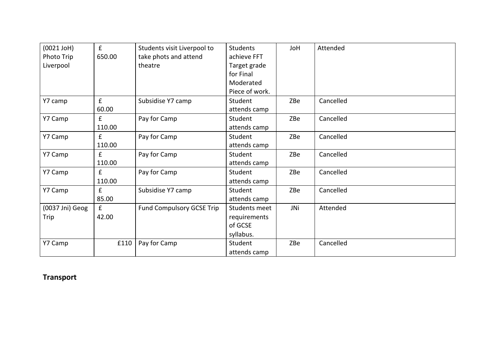| $(0021$ JoH $)$ | f                  | Students visit Liverpool to      | <b>Students</b> | JoH | Attended  |
|-----------------|--------------------|----------------------------------|-----------------|-----|-----------|
| Photo Trip      | 650.00             | take phots and attend            | achieve FFT     |     |           |
| Liverpool       |                    | theatre                          | Target grade    |     |           |
|                 |                    |                                  | for Final       |     |           |
|                 |                    |                                  | Moderated       |     |           |
|                 |                    |                                  | Piece of work.  |     |           |
| Y7 camp         | $\pmb{\mathsf{f}}$ | Subsidise Y7 camp                | Student         | ZBe | Cancelled |
|                 | 60.00              |                                  | attends camp    |     |           |
| Y7 Camp         | f                  | Pay for Camp                     | Student         | ZBe | Cancelled |
|                 | 110.00             |                                  | attends camp    |     |           |
| Y7 Camp         | $\pmb{\mathsf{f}}$ | Pay for Camp                     | Student         | ZBe | Cancelled |
|                 | 110.00             |                                  | attends camp    |     |           |
| Y7 Camp         | $\mathbf{f}$       | Pay for Camp                     | Student         | ZBe | Cancelled |
|                 | 110.00             |                                  | attends camp    |     |           |
| Y7 Camp         | £                  | Pay for Camp                     | Student         | ZBe | Cancelled |
|                 | 110.00             |                                  | attends camp    |     |           |
| Y7 Camp         | £                  | Subsidise Y7 camp                | Student         | ZBe | Cancelled |
|                 | 85.00              |                                  | attends camp    |     |           |
| (0037 Jni) Geog | f                  | <b>Fund Compulsory GCSE Trip</b> | Students meet   | JNi | Attended  |
| Trip            | 42.00              |                                  | requirements    |     |           |
|                 |                    |                                  | of GCSE         |     |           |
|                 |                    |                                  | syllabus.       |     |           |
| Y7 Camp         | £110               | Pay for Camp                     | Student         | ZBe | Cancelled |
|                 |                    |                                  | attends camp    |     |           |

# **Transport**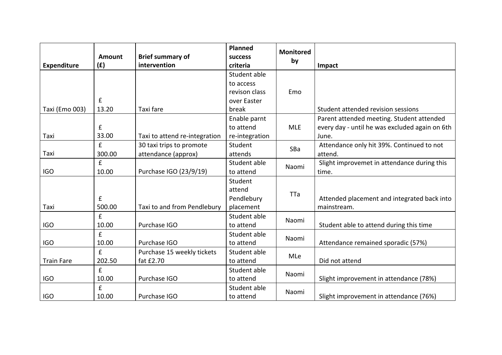| <b>Expenditure</b> | Amount<br>(f)      | <b>Brief summary of</b><br>intervention | Planned<br><b>success</b><br>criteria | <b>Monitored</b><br>by | Impact                                         |
|--------------------|--------------------|-----------------------------------------|---------------------------------------|------------------------|------------------------------------------------|
|                    |                    |                                         | Student able                          |                        |                                                |
|                    |                    |                                         | to access                             |                        |                                                |
|                    |                    |                                         | revison class                         | Emo                    |                                                |
|                    | $\mathbf f$        |                                         | over Easter                           |                        |                                                |
| Taxi (Emo 003)     | 13.20              | Taxi fare                               | break                                 |                        | Student attended revision sessions             |
|                    |                    |                                         | Enable parnt                          |                        | Parent attended meeting. Student attended      |
|                    | $\pmb{\mathsf{f}}$ |                                         | to attend                             | <b>MLE</b>             | every day - until he was excluded again on 6th |
| Taxi               | 33.00              | Taxi to attend re-integration           | re-integration                        |                        | June.                                          |
|                    | £                  | 30 taxi trips to promote                | Student                               | SBa                    | Attendance only hit 39%. Continued to not      |
| Taxi               | 300.00             | attendance (approx)                     | attends                               |                        | attend.                                        |
|                    | £                  |                                         | Student able                          | Naomi                  | Slight improvemet in attendance during this    |
| <b>IGO</b>         | 10.00              | Purchase IGO (23/9/19)                  | to attend                             |                        | time.                                          |
|                    |                    |                                         | Student                               |                        |                                                |
|                    |                    |                                         | attend                                | TTa                    |                                                |
|                    | £                  |                                         | Pendlebury                            |                        | Attended placement and integrated back into    |
| Taxi               | 500.00             | Taxi to and from Pendlebury             | placement                             |                        | mainstream.                                    |
|                    | £                  |                                         | Student able                          | Naomi                  |                                                |
| <b>IGO</b>         | 10.00              | Purchase IGO                            | to attend                             |                        | Student able to attend during this time        |
|                    | £                  |                                         | Student able                          | Naomi                  |                                                |
| <b>IGO</b>         | 10.00              | Purchase IGO                            | to attend                             |                        | Attendance remained sporadic (57%)             |
|                    | £                  | Purchase 15 weekly tickets              | Student able                          | MLe                    |                                                |
| <b>Train Fare</b>  | 202.50             | fat £2.70                               | to attend                             |                        | Did not attend                                 |
|                    | £                  |                                         | Student able                          | Naomi                  |                                                |
| <b>IGO</b>         | 10.00              | Purchase IGO                            | to attend                             |                        | Slight improvement in attendance (78%)         |
|                    | £                  |                                         | Student able                          | Naomi                  |                                                |
| <b>IGO</b>         | 10.00              | Purchase IGO                            | to attend                             |                        | Slight improvement in attendance (76%)         |